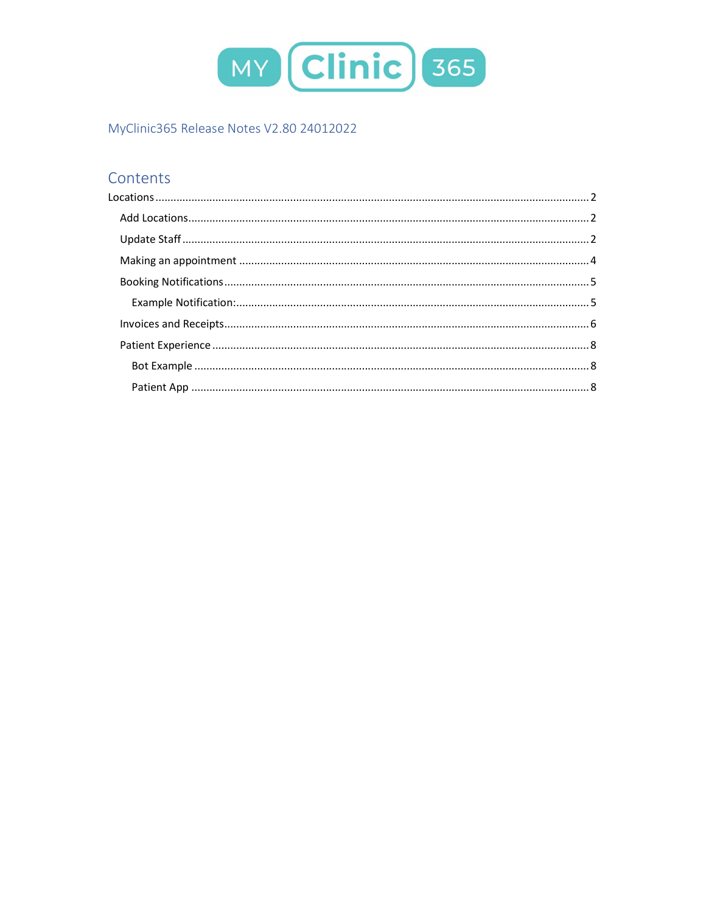

# MyClinic365 Release Notes V2.80 24012022

# Contents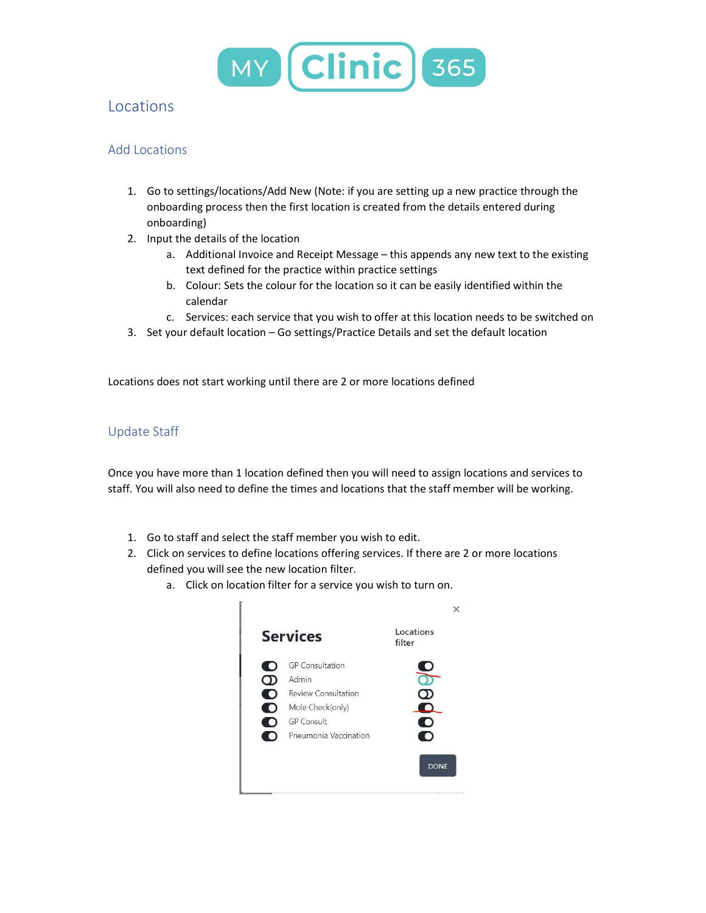

# **Locations**

## Add Locations

- 1. Go to settings/locations/Add New (Note: if you are setting up a new practice through the onboarding process then the first location is created from the details entered during onboarding)
- 2. Input the details of the location
	- a. Additional Invoice and Receipt Message this appends any new text to the existing text defined for the practice within practice settings
	- b. Colour: Sets the colour for the location so it can be easily identified within the calendar
	- c. Services: each service that you wish to offer at this location needs to be switched on
- 3. Set your default location Go settings/Practice Details and set the default location

Locations does not start working until there are 2 or more locations defined

## Update Staff

Once you have more than 1 location defined then you will need to assign locations and services to staff. You will also need to define the times and locations that the staff member will be working.

- 1. Go to staff and select the staff member you wish to edit.
- 2. Click on services to define locations offering services. If there are 2 or more locations defined you will see the new location filter.
	- a. Click on location filter for a service you wish to turn on.

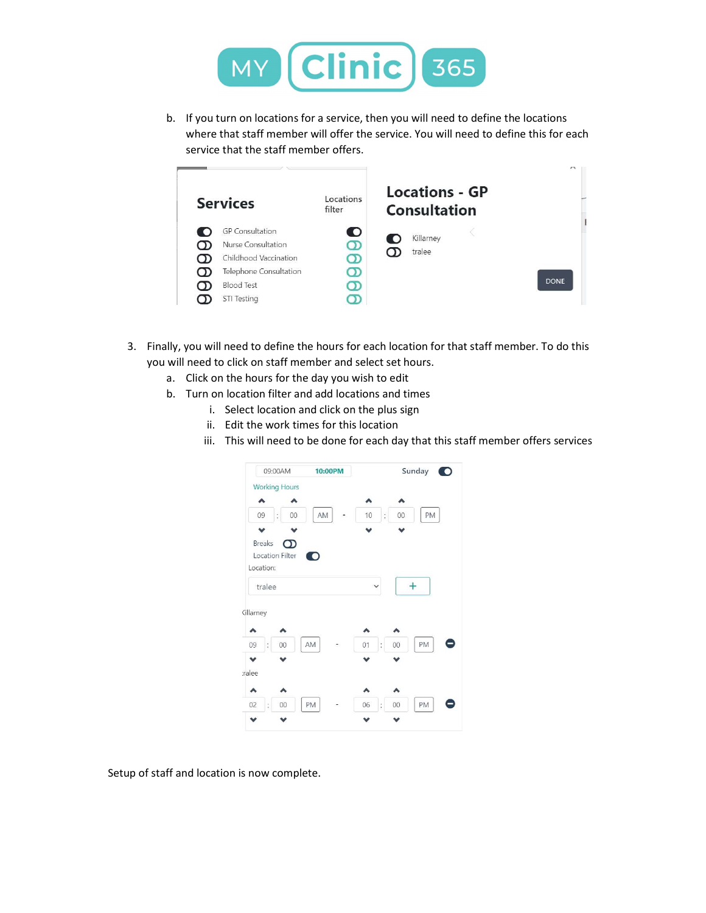

b. If you turn on locations for a service, then you will need to define the locations where that staff member will offer the service. You will need to define this for each service that the staff member offers.



- 3. Finally, you will need to define the hours for each location for that staff member. To do this you will need to click on staff member and select set hours.
	- a. Click on the hours for the day you wish to edit
	- b. Turn on location filter and add locations and times
		- i. Select location and click on the plus sign
			- ii. Edit the work times for this location
		- iii. This will need to be done for each day that this staff member offers services



Setup of staff and location is now complete.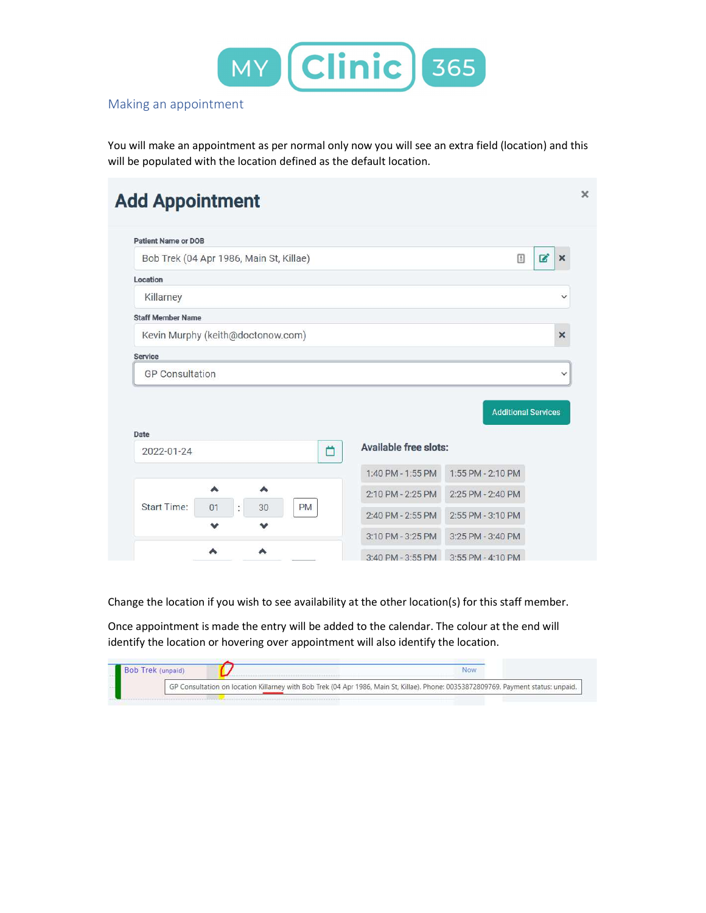

# Making an appointment

You will make an appointment as per normal only now you will see an extra field (location) and this will be populated with the location defined as the default location.

| <b>Patient Name or DOB</b>                |                       |                            |                          |
|-------------------------------------------|-----------------------|----------------------------|--------------------------|
| Bob Trek (04 Apr 1986, Main St, Killae)   |                       | 国                          | $\mathbf{z}$<br>$\times$ |
| Location                                  |                       |                            |                          |
| Killarney                                 |                       |                            | $\checkmark$             |
| <b>Staff Member Name</b>                  |                       |                            |                          |
| Kevin Murphy (keith@doctonow.com)         |                       |                            | $\times$                 |
| Service                                   |                       |                            |                          |
|                                           |                       |                            |                          |
| <b>GP Consultation</b>                    |                       |                            | $\checkmark$             |
|                                           |                       | <b>Additional Services</b> |                          |
| Ö<br>2022-01-24                           | Available free slots: |                            |                          |
| Date                                      | 1:40 PM - 1:55 PM     | 1:55 PM - 2:10 PM          |                          |
| ۸<br>^                                    | 2:10 PM - 2:25 PM     | 2:25 PM - 2:40 PM          |                          |
| <b>Start Time:</b><br>PM<br>÷<br>01<br>30 | 2:40 PM - 2:55 PM     | 2:55 PM - 3:10 PM          |                          |

Change the location if you wish to see availability at the other location(s) for this staff member.

Once appointment is made the entry will be added to the calendar. The colour at the end will identify the location or hovering over appointment will also identify the location.

|  | GP Consultation on location Killarney with Bob Trek (04 Apr 1986, Main St, Killae). Phone: 00353872809769. Payment status: unpaid. |  |
|--|------------------------------------------------------------------------------------------------------------------------------------|--|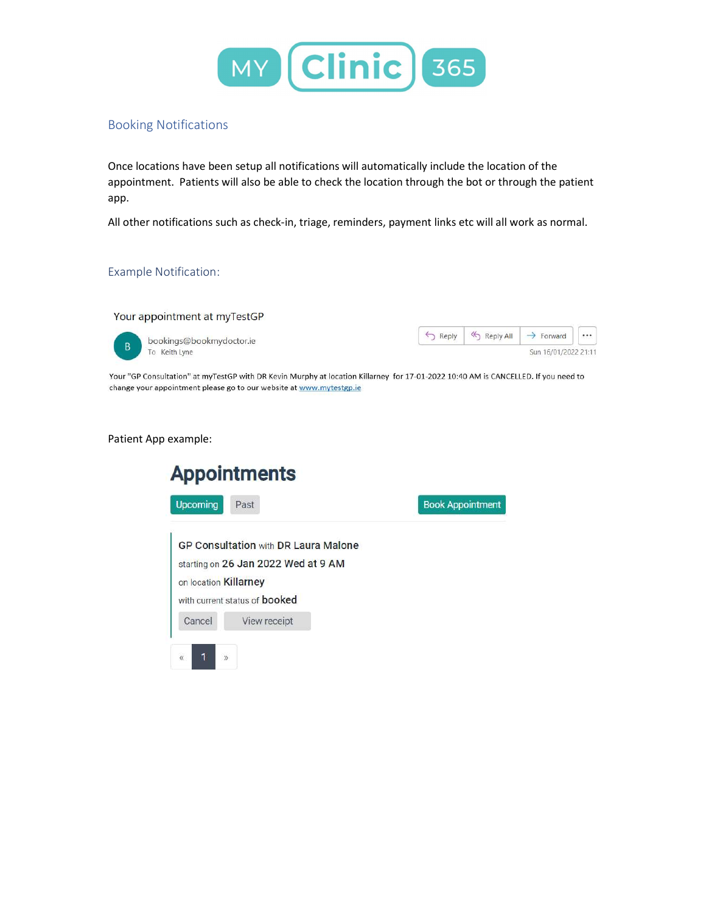

## Booking Notifications

Once locations have been setup all notifications will automatically include the location of the appointment. Patients will also be able to check the location through the bot or through the patient app.

All other notifications such as check-in, triage, reminders, payment links etc will all work as normal.

#### Example Notification:

#### Your appointment at myTestGP



bookings@bookmydoctor.ie To Keith Lyne



Your "GP Consultation" at myTestGP with DR Kevin Murphy at location Killarney for 17-01-2022 10:40 AM is CANCELLED. If you need to change your appointment please go to our website at www.mytestgp.ie

#### Patient App example:

|                       | <b>Appointments</b>                         |                         |
|-----------------------|---------------------------------------------|-------------------------|
| <b>Upcoming</b>       | Past                                        | <b>Book Appointment</b> |
|                       | <b>GP Consultation with DR Laura Malone</b> |                         |
|                       | starting on 26 Jan 2022 Wed at 9 AM         |                         |
| on location Killarney |                                             |                         |
|                       |                                             |                         |
|                       | with current status of <b>booked</b>        |                         |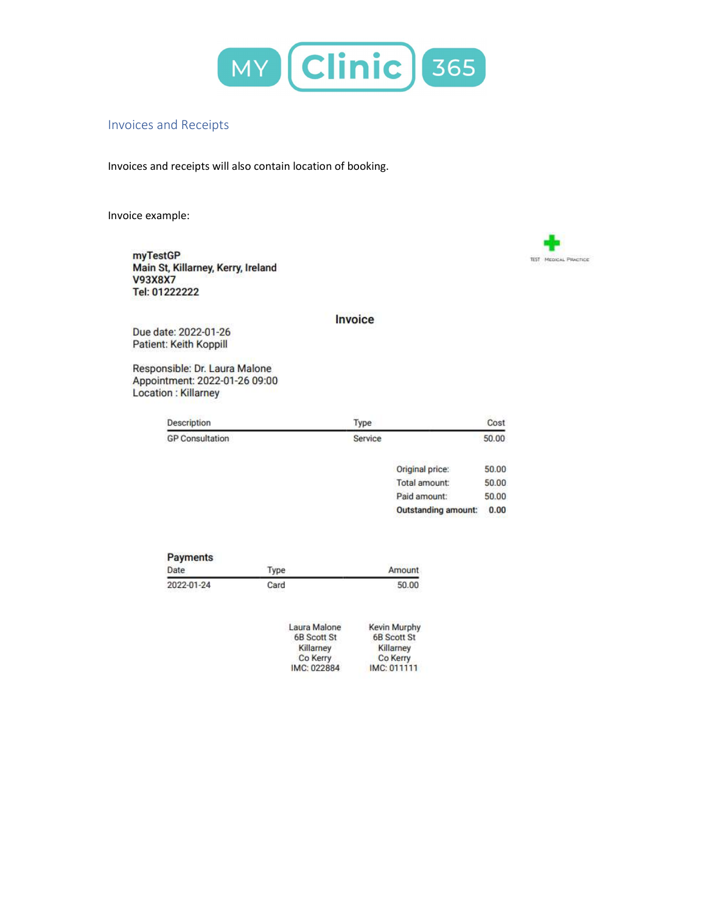

## Invoices and Receipts

Invoices and receipts will also contain location of booking.

Invoice example:

myTestGP Main St, Killarney, Kerry, Ireland **V93X8X7** Tel: 01222222



### Invoice

Due date: 2022-01-26 Patient: Keith Koppill

Responsible: Dr. Laura Malone Appointment: 2022-01-26 09:00 Location : Killarney

| Description            | Type                      | Cost                 |
|------------------------|---------------------------|----------------------|
| <b>GP Consultation</b> | Service                   | 50.00                |
|                        | de la castronica del con- | the first control of |

| Original price:            | 50.00 |
|----------------------------|-------|
| Total amount:              | 50.00 |
| Paid amount:               | 50.00 |
| <b>Outstanding amount:</b> | 0.00  |

| Payments   |      |        |
|------------|------|--------|
| Date       | Type | Amount |
| 2022-01-24 | Card | 50.00  |

| Laura Malone       | Kevin Murphy |
|--------------------|--------------|
| <b>6B Scott St</b> | 6B Scott St  |
| Killarney          | Killarney    |
| Co Kerry           | Co Kerry     |
| IMC: 022884        | IMC: 011111  |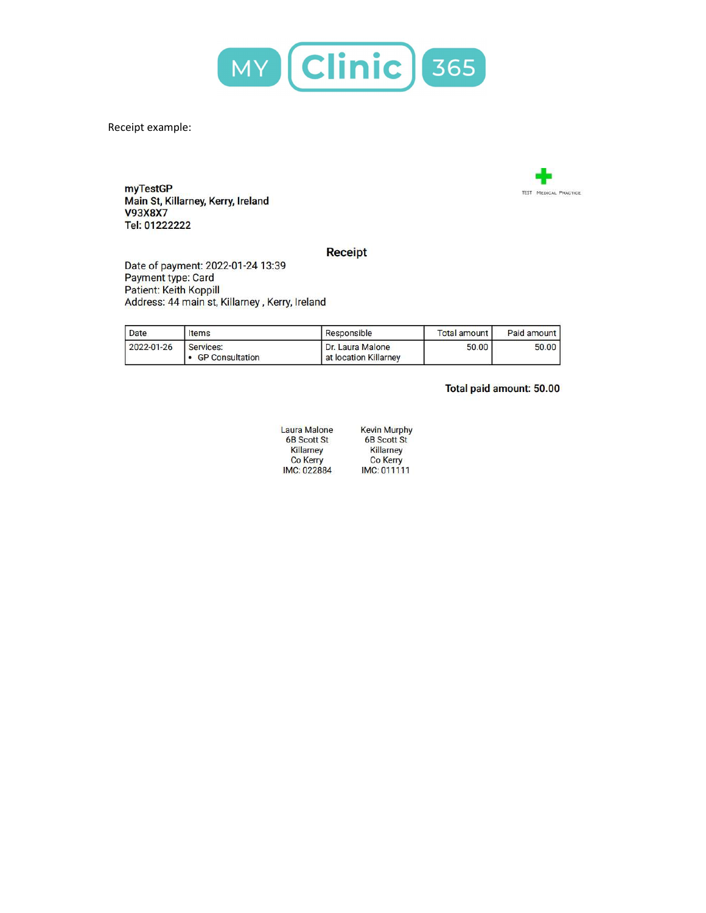

Receipt example:

myTestGP Main St, Killarney, Kerry, Ireland **V93X8X7** Tel: 01222222



### **Receipt**

Date of payment: 2022-01-24 13:39 Payment type: Card Patient: Keith Koppill Address: 44 main st, Killarney, Kerry, Ireland

| Date       | Items                               | Responsible                               | Total amount I | Paid amount |
|------------|-------------------------------------|-------------------------------------------|----------------|-------------|
| 2022-01-26 | Services:<br><b>GP Consultation</b> | Dr. Laura Malone<br>at location Killarney | 50.00          | 50.00       |

## Total paid amount: 50.00

| <b>Laura Malone</b> | <b>Kevin</b> M   |
|---------------------|------------------|
| <b>6B Scott St</b>  | 6B <sub>Sc</sub> |
| Killarney           | Killar           |
| <b>Co Kerry</b>     | Co <sub>K</sub>  |
| IMC: 022884         | IMC:0            |

M<mark>urp</mark>hy<br>cott St mey **Kerry** 11111